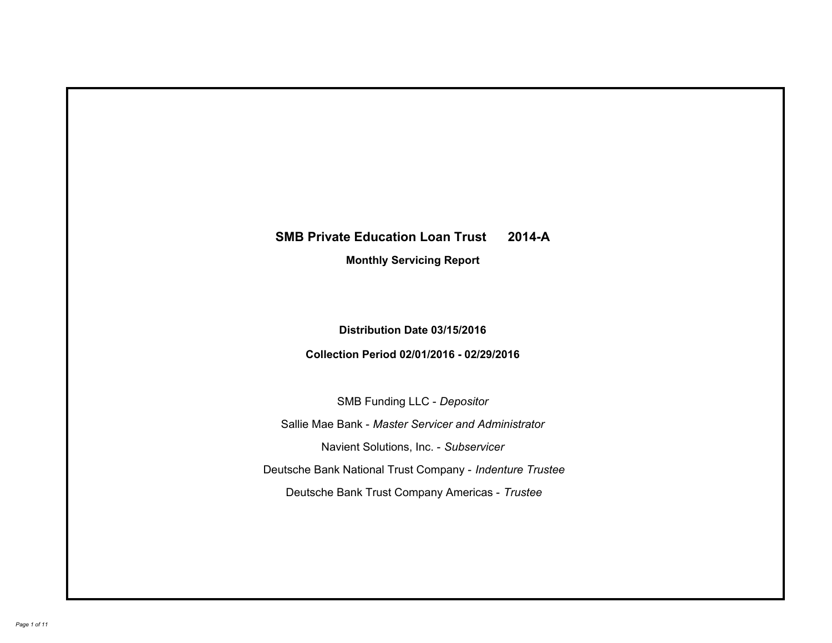# **SMB Private Education Loan Trust 2014-A Monthly Servicing Report**

# **Distribution Date 03/15/2016**

# **Collection Period 02/01/2016 - 02/29/2016**

SMB Funding LLC - *Depositor*

Sallie Mae Bank - *Master Servicer and Administrator*

Navient Solutions, Inc. - *Subservicer*

Deutsche Bank National Trust Company - *Indenture Trustee*

Deutsche Bank Trust Company Americas - *Trustee*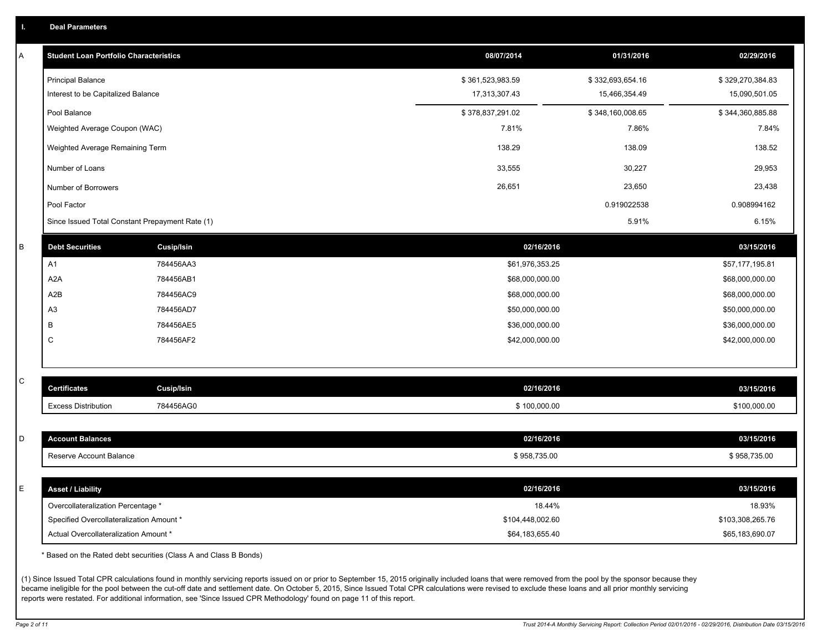|  |  |  | <b>Deal Parameters</b> |  |
|--|--|--|------------------------|--|
|--|--|--|------------------------|--|

| Α           | <b>Student Loan Portfolio Characteristics</b>   |                   | 08/07/2014       | 01/31/2016       | 02/29/2016       |
|-------------|-------------------------------------------------|-------------------|------------------|------------------|------------------|
|             | <b>Principal Balance</b>                        |                   | \$361,523,983.59 | \$332,693,654.16 | \$329,270,384.83 |
|             | Interest to be Capitalized Balance              |                   | 17,313,307.43    | 15,466,354.49    | 15,090,501.05    |
|             | Pool Balance                                    |                   | \$378,837,291.02 | \$348,160,008.65 | \$344,360,885.88 |
|             | Weighted Average Coupon (WAC)                   |                   | 7.81%            | 7.86%            | 7.84%            |
|             | Weighted Average Remaining Term                 |                   | 138.29           | 138.09           | 138.52           |
|             | Number of Loans                                 |                   | 33,555           | 30,227           | 29,953           |
|             | Number of Borrowers                             |                   | 26,651           | 23,650           | 23,438           |
|             | Pool Factor                                     |                   |                  | 0.919022538      | 0.908994162      |
|             | Since Issued Total Constant Prepayment Rate (1) |                   |                  | 5.91%            | 6.15%            |
| $\sf B$     | <b>Debt Securities</b>                          | <b>Cusip/Isin</b> | 02/16/2016       |                  | 03/15/2016       |
|             | A1                                              | 784456AA3         | \$61,976,353.25  |                  | \$57,177,195.81  |
|             | A <sub>2</sub> A                                | 784456AB1         | \$68,000,000.00  |                  | \$68,000,000.00  |
|             | A2B                                             | 784456AC9         | \$68,000,000.00  |                  | \$68,000,000.00  |
|             | A3                                              | 784456AD7         | \$50,000,000.00  |                  | \$50,000,000.00  |
|             | В                                               | 784456AE5         | \$36,000,000.00  |                  | \$36,000,000.00  |
|             | С                                               | 784456AF2         | \$42,000,000.00  |                  | \$42,000,000.00  |
|             |                                                 |                   |                  |                  |                  |
| $\mathsf C$ | <b>Certificates</b>                             | Cusip/Isin        | 02/16/2016       |                  | 03/15/2016       |
|             | <b>Excess Distribution</b>                      | 784456AG0         | \$100,000.00     |                  | \$100,000.00     |
|             |                                                 |                   |                  |                  |                  |
| D           | <b>Account Balances</b>                         |                   | 02/16/2016       |                  | 03/15/2016       |
|             | Reserve Account Balance                         |                   | \$958,735.00     |                  | \$958,735.00     |
|             |                                                 |                   |                  |                  |                  |
| Ε           | <b>Asset / Liability</b>                        |                   | 02/16/2016       |                  | 03/15/2016       |
|             | Overcollateralization Percentage *              |                   | 18.44%           |                  | 18.93%           |
|             | Specified Overcollateralization Amount *        |                   | \$104,448,002.60 |                  | \$103,308,265.76 |
|             | Actual Overcollateralization Amount *           |                   | \$64,183,655.40  |                  | \$65,183,690.07  |

\* Based on the Rated debt securities (Class A and Class B Bonds)

(1) Since Issued Total CPR calculations found in monthly servicing reports issued on or prior to September 15, 2015 originally included loans that were removed from the pool by the sponsor because they became ineligible for the pool between the cut-off date and settlement date. On October 5, 2015, Since Issued Total CPR calculations were revised to exclude these loans and all prior monthly servicing reports were restated. For additional information, see 'Since Issued CPR Methodology' found on page 11 of this report.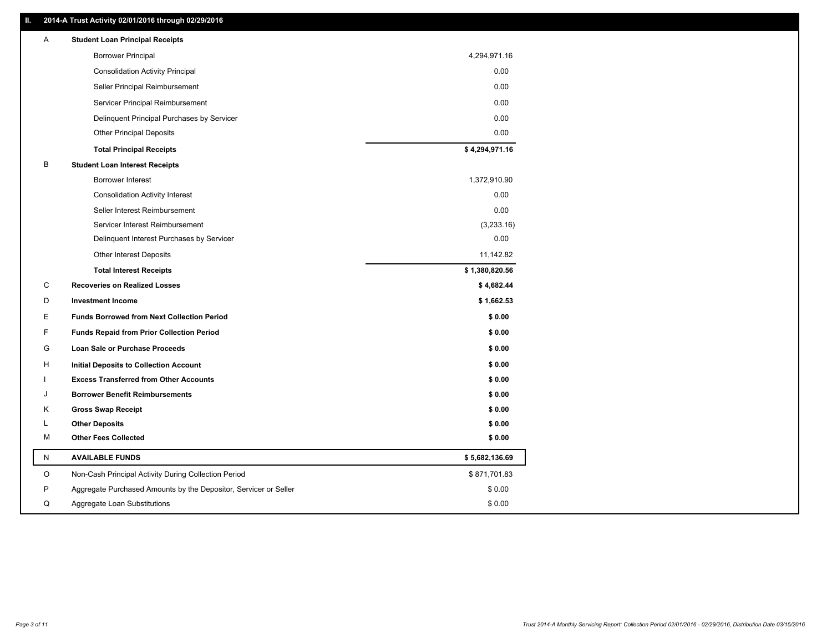## **II. 2014-A Trust Activity 02/01/2016 through 02/29/2016**

| Α | <b>Student Loan Principal Receipts</b>                           |                |
|---|------------------------------------------------------------------|----------------|
|   | <b>Borrower Principal</b>                                        | 4,294,971.16   |
|   | <b>Consolidation Activity Principal</b>                          | 0.00           |
|   | Seller Principal Reimbursement                                   | 0.00           |
|   | Servicer Principal Reimbursement                                 | 0.00           |
|   | Delinquent Principal Purchases by Servicer                       | 0.00           |
|   | Other Principal Deposits                                         | 0.00           |
|   | <b>Total Principal Receipts</b>                                  | \$4,294,971.16 |
| B | <b>Student Loan Interest Receipts</b>                            |                |
|   | Borrower Interest                                                | 1,372,910.90   |
|   | <b>Consolidation Activity Interest</b>                           | 0.00           |
|   | Seller Interest Reimbursement                                    | 0.00           |
|   | Servicer Interest Reimbursement                                  | (3,233.16)     |
|   | Delinquent Interest Purchases by Servicer                        | 0.00           |
|   | Other Interest Deposits                                          | 11,142.82      |
|   | <b>Total Interest Receipts</b>                                   | \$1,380,820.56 |
| С | <b>Recoveries on Realized Losses</b>                             | \$4,682.44     |
| D | <b>Investment Income</b>                                         | \$1,662.53     |
| Е | <b>Funds Borrowed from Next Collection Period</b>                | \$0.00         |
| F | <b>Funds Repaid from Prior Collection Period</b>                 | \$0.00         |
| G | Loan Sale or Purchase Proceeds                                   | \$0.00         |
| н | Initial Deposits to Collection Account                           | \$0.00         |
|   | <b>Excess Transferred from Other Accounts</b>                    | \$0.00         |
| J | <b>Borrower Benefit Reimbursements</b>                           | \$0.00         |
| Κ | <b>Gross Swap Receipt</b>                                        | \$0.00         |
| L | <b>Other Deposits</b>                                            | \$0.00         |
| м | <b>Other Fees Collected</b>                                      | \$0.00         |
| N | <b>AVAILABLE FUNDS</b>                                           | \$5,682,136.69 |
| O | Non-Cash Principal Activity During Collection Period             | \$871,701.83   |
| P | Aggregate Purchased Amounts by the Depositor, Servicer or Seller | \$0.00         |
| Q | Aggregate Loan Substitutions                                     | \$0.00         |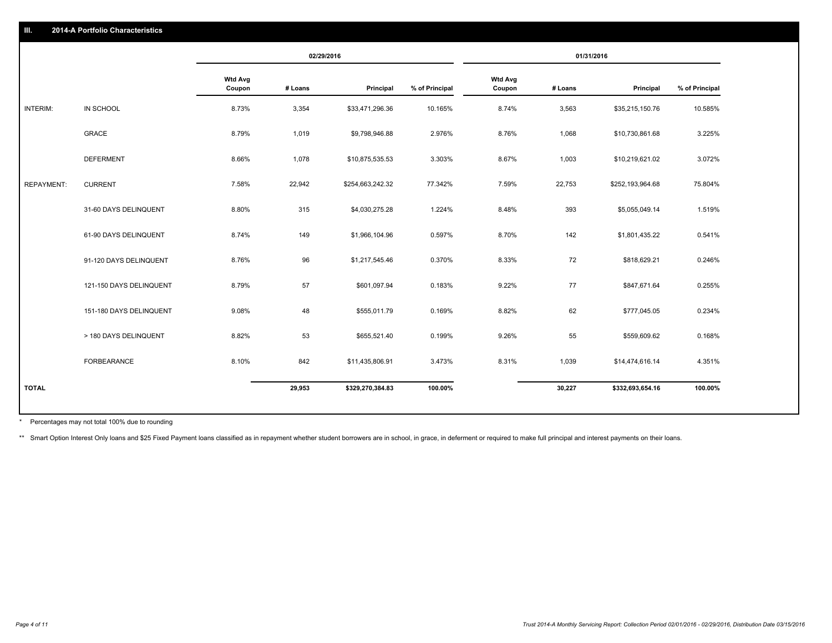|                   |                         |                          |         | 02/29/2016       |                | 01/31/2016               |         |                  |                |
|-------------------|-------------------------|--------------------------|---------|------------------|----------------|--------------------------|---------|------------------|----------------|
|                   |                         | <b>Wtd Avg</b><br>Coupon | # Loans | Principal        | % of Principal | <b>Wtd Avg</b><br>Coupon | # Loans | Principal        | % of Principal |
| INTERIM:          | IN SCHOOL               | 8.73%                    | 3,354   | \$33,471,296.36  | 10.165%        | 8.74%                    | 3,563   | \$35,215,150.76  | 10.585%        |
|                   | GRACE                   | 8.79%                    | 1,019   | \$9,798,946.88   | 2.976%         | 8.76%                    | 1,068   | \$10,730,861.68  | 3.225%         |
|                   | <b>DEFERMENT</b>        | 8.66%                    | 1,078   | \$10,875,535.53  | 3.303%         | 8.67%                    | 1,003   | \$10,219,621.02  | 3.072%         |
| <b>REPAYMENT:</b> | <b>CURRENT</b>          | 7.58%                    | 22,942  | \$254,663,242.32 | 77.342%        | 7.59%                    | 22,753  | \$252,193,964.68 | 75.804%        |
|                   | 31-60 DAYS DELINQUENT   | 8.80%                    | 315     | \$4,030,275.28   | 1.224%         | 8.48%                    | 393     | \$5,055,049.14   | 1.519%         |
|                   | 61-90 DAYS DELINQUENT   | 8.74%                    | 149     | \$1,966,104.96   | 0.597%         | 8.70%                    | 142     | \$1,801,435.22   | 0.541%         |
|                   | 91-120 DAYS DELINQUENT  | 8.76%                    | 96      | \$1,217,545.46   | 0.370%         | 8.33%                    | 72      | \$818,629.21     | 0.246%         |
|                   | 121-150 DAYS DELINQUENT | 8.79%                    | 57      | \$601,097.94     | 0.183%         | 9.22%                    | 77      | \$847,671.64     | 0.255%         |
|                   | 151-180 DAYS DELINQUENT | 9.08%                    | 48      | \$555,011.79     | 0.169%         | 8.82%                    | 62      | \$777,045.05     | 0.234%         |
|                   | > 180 DAYS DELINQUENT   | 8.82%                    | 53      | \$655,521.40     | 0.199%         | 9.26%                    | 55      | \$559,609.62     | 0.168%         |
|                   | FORBEARANCE             | 8.10%                    | 842     | \$11,435,806.91  | 3.473%         | 8.31%                    | 1,039   | \$14,474,616.14  | 4.351%         |
| <b>TOTAL</b>      |                         |                          | 29,953  | \$329,270,384.83 | 100.00%        |                          | 30,227  | \$332,693,654.16 | 100.00%        |

Percentages may not total 100% due to rounding \*

\*\* Smart Option Interest Only loans and \$25 Fixed Payment loans classified as in repayment whether student borrowers are in school, in grace, in deferment or required to make full principal and interest payments on their l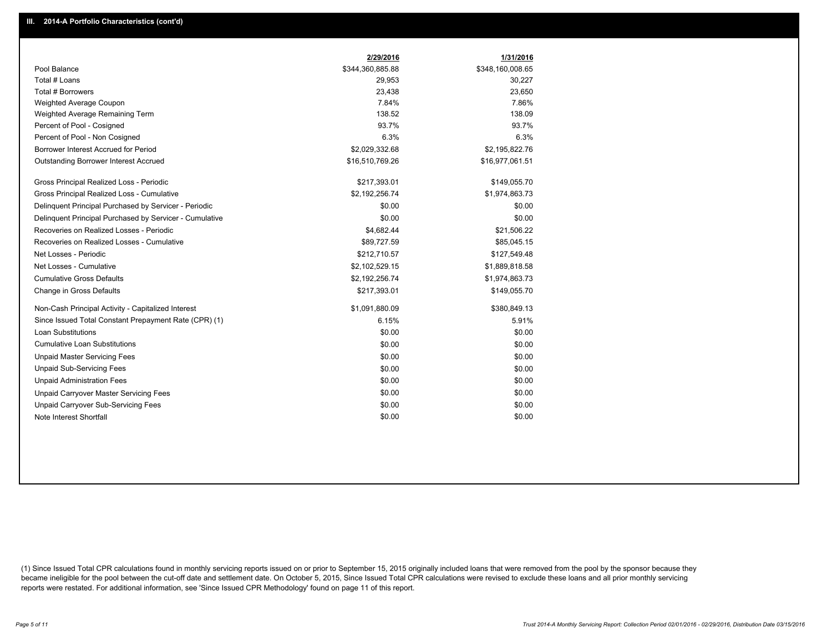|                                                         | 2/29/2016        | 1/31/2016        |
|---------------------------------------------------------|------------------|------------------|
| Pool Balance                                            | \$344,360,885.88 | \$348,160,008.65 |
| Total # Loans                                           | 29,953           | 30,227           |
| Total # Borrowers                                       | 23,438           | 23,650           |
| Weighted Average Coupon                                 | 7.84%            | 7.86%            |
| Weighted Average Remaining Term                         | 138.52           | 138.09           |
| Percent of Pool - Cosigned                              | 93.7%            | 93.7%            |
| Percent of Pool - Non Cosigned                          | 6.3%             | 6.3%             |
| Borrower Interest Accrued for Period                    | \$2,029,332.68   | \$2,195,822.76   |
| Outstanding Borrower Interest Accrued                   | \$16,510,769.26  | \$16,977,061.51  |
| Gross Principal Realized Loss - Periodic                | \$217,393.01     | \$149,055.70     |
| Gross Principal Realized Loss - Cumulative              | \$2,192,256.74   | \$1,974,863.73   |
| Delinquent Principal Purchased by Servicer - Periodic   | \$0.00           | \$0.00           |
| Delinquent Principal Purchased by Servicer - Cumulative | \$0.00           | \$0.00           |
| Recoveries on Realized Losses - Periodic                | \$4,682.44       | \$21,506.22      |
| Recoveries on Realized Losses - Cumulative              | \$89,727.59      | \$85,045.15      |
| Net Losses - Periodic                                   | \$212,710.57     | \$127,549.48     |
| Net Losses - Cumulative                                 | \$2,102,529.15   | \$1,889,818.58   |
| <b>Cumulative Gross Defaults</b>                        | \$2,192,256.74   | \$1,974,863.73   |
| Change in Gross Defaults                                | \$217,393.01     | \$149,055.70     |
| Non-Cash Principal Activity - Capitalized Interest      | \$1,091,880.09   | \$380,849.13     |
| Since Issued Total Constant Prepayment Rate (CPR) (1)   | 6.15%            | 5.91%            |
| Loan Substitutions                                      | \$0.00           | \$0.00           |
| <b>Cumulative Loan Substitutions</b>                    | \$0.00           | \$0.00           |
| <b>Unpaid Master Servicing Fees</b>                     | \$0.00           | \$0.00           |
| <b>Unpaid Sub-Servicing Fees</b>                        | \$0.00           | \$0.00           |
| <b>Unpaid Administration Fees</b>                       | \$0.00           | \$0.00           |
| Unpaid Carryover Master Servicing Fees                  | \$0.00           | \$0.00           |
| <b>Unpaid Carryover Sub-Servicing Fees</b>              | \$0.00           | \$0.00           |
| Note Interest Shortfall                                 | \$0.00           | \$0.00           |

(1) Since Issued Total CPR calculations found in monthly servicing reports issued on or prior to September 15, 2015 originally included loans that were removed from the pool by the sponsor because they became ineligible for the pool between the cut-off date and settlement date. On October 5, 2015, Since Issued Total CPR calculations were revised to exclude these loans and all prior monthly servicing reports were restated. For additional information, see 'Since Issued CPR Methodology' found on page 11 of this report.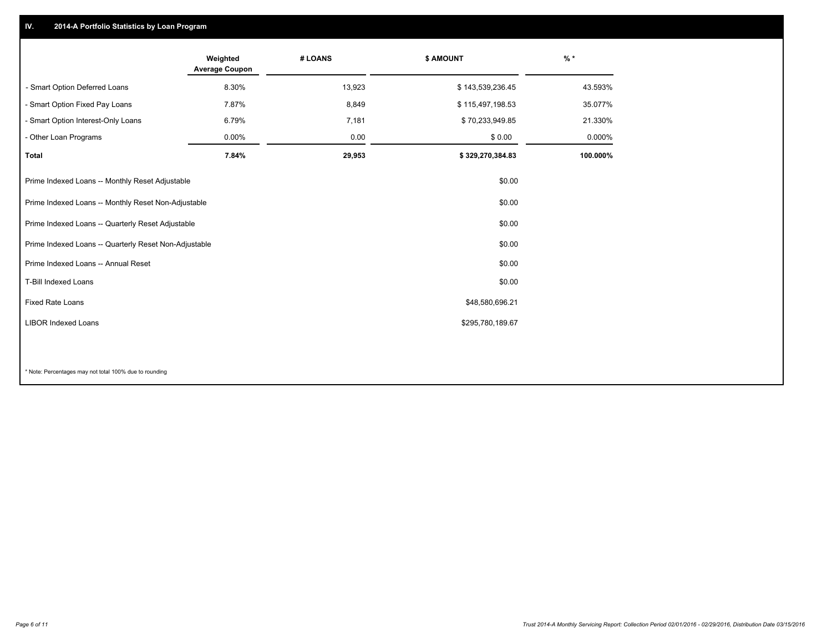## **IV. 2014-A Portfolio Statistics by Loan Program**

|                                                       | Weighted<br><b>Average Coupon</b> | # LOANS | \$ AMOUNT        | $\frac{9}{6}$ * |
|-------------------------------------------------------|-----------------------------------|---------|------------------|-----------------|
| - Smart Option Deferred Loans                         | 8.30%                             | 13,923  | \$143,539,236.45 | 43.593%         |
| - Smart Option Fixed Pay Loans                        | 7.87%                             | 8,849   | \$115,497,198.53 | 35.077%         |
| - Smart Option Interest-Only Loans                    | 6.79%                             | 7,181   | \$70,233,949.85  | 21.330%         |
| - Other Loan Programs                                 | 0.00%                             | 0.00    | \$0.00           | 0.000%          |
| <b>Total</b>                                          | 7.84%                             | 29,953  | \$329,270,384.83 | 100.000%        |
| Prime Indexed Loans -- Monthly Reset Adjustable       |                                   |         | \$0.00           |                 |
| Prime Indexed Loans -- Monthly Reset Non-Adjustable   |                                   |         | \$0.00           |                 |
| Prime Indexed Loans -- Quarterly Reset Adjustable     |                                   |         | \$0.00           |                 |
| Prime Indexed Loans -- Quarterly Reset Non-Adjustable |                                   |         | \$0.00           |                 |
| Prime Indexed Loans -- Annual Reset                   |                                   |         | \$0.00           |                 |
| T-Bill Indexed Loans                                  |                                   |         | \$0.00           |                 |
| Fixed Rate Loans                                      |                                   |         | \$48,580,696.21  |                 |
| <b>LIBOR Indexed Loans</b>                            |                                   |         | \$295,780,189.67 |                 |
|                                                       |                                   |         |                  |                 |

\* Note: Percentages may not total 100% due to rounding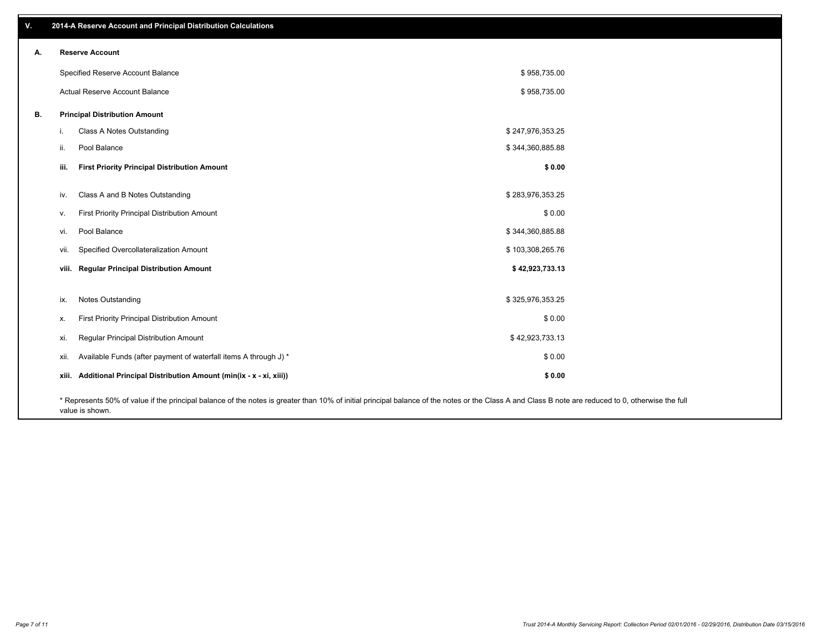| V. |       | 2014-A Reserve Account and Principal Distribution Calculations                                                                                                                                                        |                  |  |
|----|-------|-----------------------------------------------------------------------------------------------------------------------------------------------------------------------------------------------------------------------|------------------|--|
| А. |       | <b>Reserve Account</b>                                                                                                                                                                                                |                  |  |
|    |       | Specified Reserve Account Balance                                                                                                                                                                                     | \$958,735.00     |  |
|    |       | Actual Reserve Account Balance                                                                                                                                                                                        | \$958,735.00     |  |
| В. |       | <b>Principal Distribution Amount</b>                                                                                                                                                                                  |                  |  |
|    | j.    | Class A Notes Outstanding                                                                                                                                                                                             | \$247,976,353.25 |  |
|    | ii.   | Pool Balance                                                                                                                                                                                                          | \$344,360,885.88 |  |
|    | iii.  | <b>First Priority Principal Distribution Amount</b>                                                                                                                                                                   | \$0.00           |  |
|    |       | Class A and B Notes Outstanding                                                                                                                                                                                       | \$283,976,353.25 |  |
|    | iv.   |                                                                                                                                                                                                                       | \$0.00           |  |
|    | V.    | First Priority Principal Distribution Amount                                                                                                                                                                          |                  |  |
|    | vi.   | Pool Balance                                                                                                                                                                                                          | \$344,360,885.88 |  |
|    | vii.  | Specified Overcollateralization Amount                                                                                                                                                                                | \$103,308,265.76 |  |
|    | viii. | <b>Regular Principal Distribution Amount</b>                                                                                                                                                                          | \$42,923,733.13  |  |
|    |       |                                                                                                                                                                                                                       |                  |  |
|    | ix.   | <b>Notes Outstanding</b>                                                                                                                                                                                              | \$325,976,353.25 |  |
|    | х.    | First Priority Principal Distribution Amount                                                                                                                                                                          | \$0.00           |  |
|    | xi.   | Regular Principal Distribution Amount                                                                                                                                                                                 | \$42,923,733.13  |  |
|    | xii.  | Available Funds (after payment of waterfall items A through J) *                                                                                                                                                      | \$0.00           |  |
|    | xiii. | Additional Principal Distribution Amount (min(ix - x - xi, xiii))                                                                                                                                                     | \$0.00           |  |
|    |       | * Represents 50% of value if the principal balance of the notes is greater than 10% of initial principal balance of the notes or the Class A and Class B note are reduced to 0, otherwise the full<br>value is shown. |                  |  |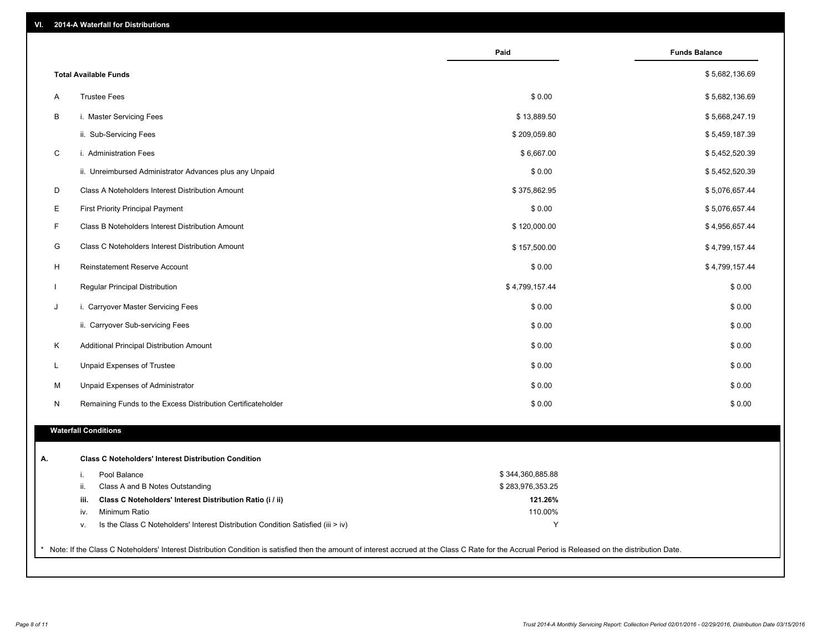| VI. |  | 2014-A Waterfall for Distributions |  |  |  |
|-----|--|------------------------------------|--|--|--|
|-----|--|------------------------------------|--|--|--|

|                                                                                        | Paid             | <b>Funds Balance</b> |
|----------------------------------------------------------------------------------------|------------------|----------------------|
| <b>Total Available Funds</b>                                                           |                  | \$5,682,136.69       |
| <b>Trustee Fees</b><br>A                                                               | \$0.00           | \$5,682,136.69       |
| В<br>i. Master Servicing Fees                                                          | \$13,889.50      | \$5,668,247.19       |
| ii. Sub-Servicing Fees                                                                 | \$209,059.80     | \$5,459,187.39       |
| C<br>i. Administration Fees                                                            | \$6,667.00       | \$5,452,520.39       |
| ii. Unreimbursed Administrator Advances plus any Unpaid                                | \$0.00           | \$5,452,520.39       |
| D<br>Class A Noteholders Interest Distribution Amount                                  | \$375,862.95     | \$5,076,657.44       |
| E<br><b>First Priority Principal Payment</b>                                           | \$0.00           | \$5,076,657.44       |
| F<br>Class B Noteholders Interest Distribution Amount                                  | \$120,000.00     | \$4,956,657.44       |
| G<br>Class C Noteholders Interest Distribution Amount                                  | \$157,500.00     | \$4,799,157.44       |
| H<br><b>Reinstatement Reserve Account</b>                                              | \$0.00           | \$4,799,157.44       |
| Regular Principal Distribution                                                         | \$4,799,157.44   | \$0.00               |
| J<br>i. Carryover Master Servicing Fees                                                | \$0.00           | \$0.00               |
| ii. Carryover Sub-servicing Fees                                                       | \$0.00           | \$0.00               |
| Κ<br>Additional Principal Distribution Amount                                          | \$0.00           | \$0.00               |
| L<br>Unpaid Expenses of Trustee                                                        | \$0.00           | \$0.00               |
| M<br>Unpaid Expenses of Administrator                                                  | \$0.00           | \$0.00               |
| Remaining Funds to the Excess Distribution Certificateholder<br>N                      | \$0.00           | \$0.00               |
|                                                                                        |                  |                      |
| <b>Waterfall Conditions</b>                                                            |                  |                      |
| <b>Class C Noteholders' Interest Distribution Condition</b>                            |                  |                      |
| i.<br>Pool Balance                                                                     | \$344,360,885.88 |                      |
| ii.<br>Class A and B Notes Outstanding                                                 | \$283,976,353.25 |                      |
| iii.<br>Class C Noteholders' Interest Distribution Ratio (i / ii)                      | 121.26%          |                      |
| Minimum Ratio<br>iv.                                                                   | 110.00%          |                      |
| Is the Class C Noteholders' Interest Distribution Condition Satisfied (iii > iv)<br>v. | Y                |                      |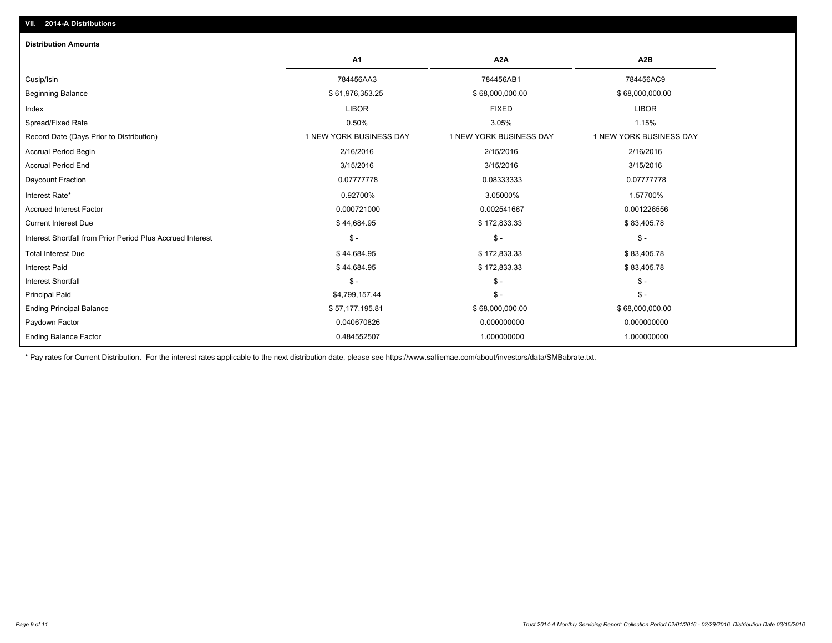| <b>Distribution Amounts</b>                                |                         |                         |                         |
|------------------------------------------------------------|-------------------------|-------------------------|-------------------------|
|                                                            | A <sub>1</sub>          | A <sub>2</sub> A        | A <sub>2</sub> B        |
| Cusip/Isin                                                 | 784456AA3               | 784456AB1               | 784456AC9               |
| <b>Beginning Balance</b>                                   | \$61,976,353.25         | \$68,000,000.00         | \$68,000,000.00         |
| Index                                                      | <b>LIBOR</b>            | <b>FIXED</b>            | <b>LIBOR</b>            |
| Spread/Fixed Rate                                          | 0.50%                   | 3.05%                   | 1.15%                   |
| Record Date (Days Prior to Distribution)                   | 1 NEW YORK BUSINESS DAY | 1 NEW YORK BUSINESS DAY | 1 NEW YORK BUSINESS DAY |
| <b>Accrual Period Begin</b>                                | 2/16/2016               | 2/15/2016               | 2/16/2016               |
| <b>Accrual Period End</b>                                  | 3/15/2016               | 3/15/2016               | 3/15/2016               |
| Daycount Fraction                                          | 0.07777778              | 0.08333333              | 0.07777778              |
| Interest Rate*                                             | 0.92700%                | 3.05000%                | 1.57700%                |
| <b>Accrued Interest Factor</b>                             | 0.000721000             | 0.002541667             | 0.001226556             |
| <b>Current Interest Due</b>                                | \$44,684.95             | \$172,833.33            | \$83,405.78             |
| Interest Shortfall from Prior Period Plus Accrued Interest | $\mathsf{\$}$ -         | $\mathsf{\$}$ -         | $\mathsf{\$}$ -         |
| <b>Total Interest Due</b>                                  | \$44,684.95             | \$172,833.33            | \$83,405.78             |
| <b>Interest Paid</b>                                       | \$44,684.95             | \$172,833.33            | \$83,405.78             |
| <b>Interest Shortfall</b>                                  | $\mathsf{\$}$ -         | $\mathcal{S}$ -         | $\mathcal{S}$ -         |
| <b>Principal Paid</b>                                      | \$4,799,157.44          | $\mathcal{S}$ -         | $\mathsf{\$}$ -         |
| <b>Ending Principal Balance</b>                            | \$57,177,195.81         | \$68,000,000.00         | \$68,000,000.00         |
| Paydown Factor                                             | 0.040670826             | 0.000000000             | 0.000000000             |
| <b>Ending Balance Factor</b>                               | 0.484552507             | 1.000000000             | 1.000000000             |

\* Pay rates for Current Distribution. For the interest rates applicable to the next distribution date, please see https://www.salliemae.com/about/investors/data/SMBabrate.txt.

**VII. 2014-A Distributions**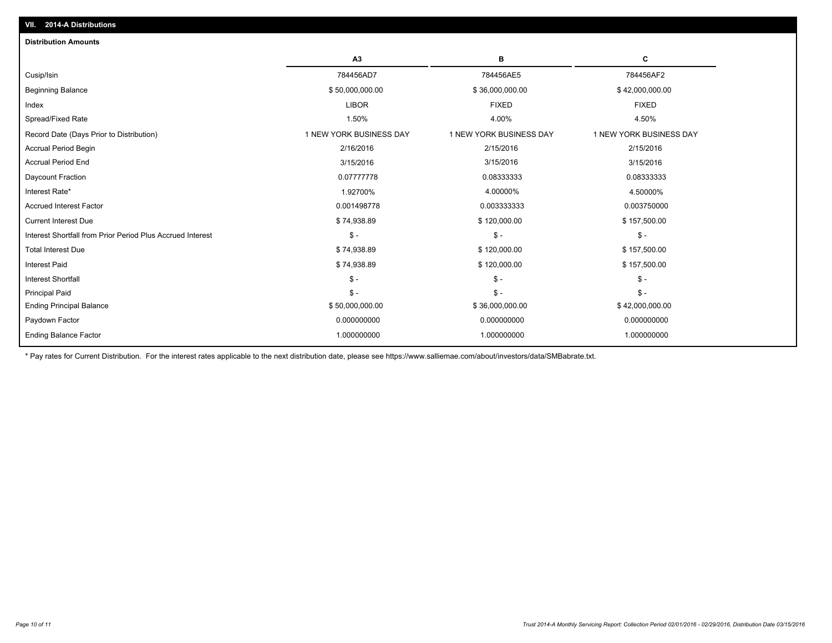| <b>Distribution Amounts</b>                                |                         |                         |                         |
|------------------------------------------------------------|-------------------------|-------------------------|-------------------------|
|                                                            | A3                      | в                       | С                       |
| Cusip/Isin                                                 | 784456AD7               | 784456AE5               | 784456AF2               |
| <b>Beginning Balance</b>                                   | \$50,000,000.00         | \$36,000,000.00         | \$42,000,000.00         |
| Index                                                      | <b>LIBOR</b>            | <b>FIXED</b>            | <b>FIXED</b>            |
| Spread/Fixed Rate                                          | 1.50%                   | 4.00%                   | 4.50%                   |
| Record Date (Days Prior to Distribution)                   | 1 NEW YORK BUSINESS DAY | 1 NEW YORK BUSINESS DAY | 1 NEW YORK BUSINESS DAY |
| <b>Accrual Period Begin</b>                                | 2/16/2016               | 2/15/2016               | 2/15/2016               |
| <b>Accrual Period End</b>                                  | 3/15/2016               | 3/15/2016               | 3/15/2016               |
| Daycount Fraction                                          | 0.07777778              | 0.08333333              | 0.08333333              |
| Interest Rate*                                             | 1.92700%                | 4.00000%                | 4.50000%                |
| <b>Accrued Interest Factor</b>                             | 0.001498778             | 0.003333333             | 0.003750000             |
| <b>Current Interest Due</b>                                | \$74,938.89             | \$120,000.00            | \$157,500.00            |
| Interest Shortfall from Prior Period Plus Accrued Interest | $\mathsf{\$}$ -         | $\mathsf{\$}$ -         | $\mathsf{\$}$ -         |
| <b>Total Interest Due</b>                                  | \$74,938.89             | \$120,000.00            | \$157,500.00            |
| <b>Interest Paid</b>                                       | \$74,938.89             | \$120,000.00            | \$157,500.00            |
| <b>Interest Shortfall</b>                                  | $\mathsf{\$}$ -         | $\mathsf{\$}$ -         | $\mathsf{\$}$ -         |
| Principal Paid                                             | $S -$                   | $\mathsf{\$}$ -         | $S -$                   |
| <b>Ending Principal Balance</b>                            | \$50,000,000.00         | \$36,000,000.00         | \$42,000,000.00         |
| Paydown Factor                                             | 0.000000000             | 0.000000000             | 0.000000000             |
| <b>Ending Balance Factor</b>                               | 1.000000000             | 1.000000000             | 1.000000000             |
|                                                            |                         |                         |                         |

\* Pay rates for Current Distribution. For the interest rates applicable to the next distribution date, please see https://www.salliemae.com/about/investors/data/SMBabrate.txt.

**VII. 2014-A Distributions**